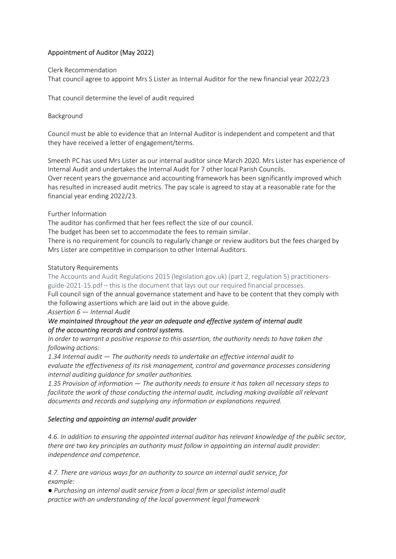# Appointment of Auditor (May 2022)

#### Clerk Recommendation

That council agree to appoint Mrs S Lister as Internal Auditor for the new financial year 2022/23

That council determine the level of audit required

## Background

Council must be able to evidence that an Internal Auditor is independent and competent and that they have received a letter of engagement/terms.

Smeeth PC has used Mrs Lister as our internal auditor since March 2020. Mrs Lister has experience of Internal Audit and undertakes the Internal Audit for 7 other local Parish Councils. Over recent years the governance and accounting framework has been significantly improved which has resulted in increased audit metrics. The pay scale is agreed to stay at a reasonable rate for the

# Further Information

financial year ending 2022/23.

The auditor has confirmed that her fees reflect the size of our council.

The budget has been set to accommodate the fees to remain similar.

There is no requirement for councils to regularly change or review auditors but the fees charged by Mrs Lister are competitive in comparison to other Internal Auditors.

## Statutory Requirements

The Accounts and Audit Regulations 2015 (legislation.gov.uk) (part 2, regulation 5) practitionersguide-2021-15.pdf – this is the document that lays out our required financial processes.

Full council sign of the annual governance statement and have to be content that they comply with the following assertions which are laid out in the above guide.

#### Assertion 6 — Internal Audit

## We maintained throughout the year an adequate and effective system of internal audit of the accounting records and control systems.

In order to warrant a positive response to this assertion, the authority needs to have taken the following actions:

1.34 Internal audit — The authority needs to undertake an effective internal audit to evaluate the effectiveness of its risk management, control and governance processes considering internal auditing guidance for smaller authorities.

1.35 Provision of information — The authority needs to ensure it has taken all necessary steps to facilitate the work of those conducting the internal audit, including making available all relevant documents and records and supplying any information or explanations required.

## Selecting and appointing an internal audit provider

4.6. In addition to ensuring the appointed internal auditor has relevant knowledge of the public sector, there are two key principles an authority must follow in appointing an internal audit provider: independence and competence.

4.7. There are various ways for an authority to source an internal audit service, for example:

● Purchasing an internal audit service from a local firm or specialist internal audit practice with an understanding of the local government legal framework